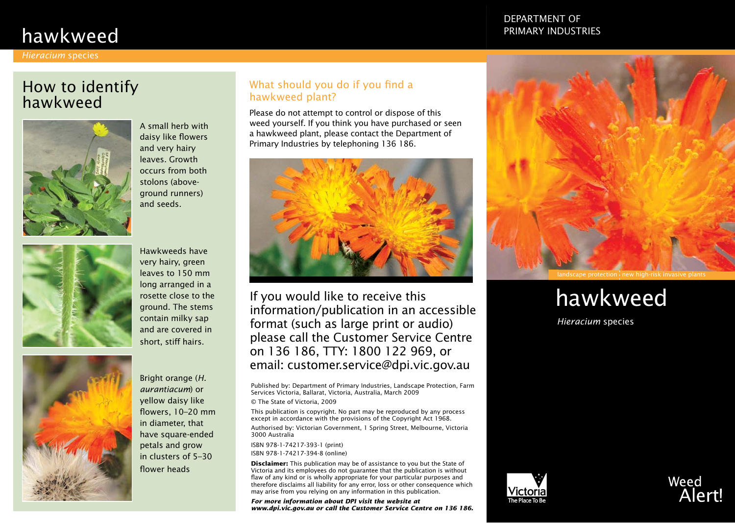# hawkweed

#### *Hieracium* species

## How to identify hawkweed



A small herb with daisy like flowers and very hairy leaves. Growth occurs from both stolons (aboveground runners) and seeds.



Hawkweeds have very hairy, green leaves to 150 mm long arranged in a rosette close to the ground. The stems contain milky sap and are covered in short, stiff hairs.



Bright orange (*H. aurantiacum*) or yellow daisy like flowers, 10–20 mm in diameter, that have square-ended petals and grow in clusters of 5–30 flower heads

### What should you do if you find a hawkweed plant?

Please do not attempt to control or dispose of this weed yourself. If you think you have purchased or seen a hawkweed plant, please contact the Department of Primary Industries by telephoning 136 186.



If you would like to receive this information/publication in an accessible format (such as large print or audio) please call the Customer Service Centre on 136 186, TTY: 1800 122 969, or email: customer.service@dpi.vic.gov.au

Published by: Department of Primary Industries, Landscape Protection, Farm Services Victoria, Ballarat, Victoria, Australia, March 2009

© The State of Victoria, 2009

This publication is copyright. No part may be reproduced by any process except in accordance with the provisions of the Copyright Act 1968. Authorised by: Victorian Government, 1 Spring Street, Melbourne, Victoria 3000 Australia

ISBN 978-1-74217-393-1 (print) ISBN 978-1-74217-394-8 (online)

**Disclaimer:** This publication may be of assistance to you but the State of Victoria and its employees do not guarantee that the publication is without flaw of any kind or is wholly appropriate for your particular purposes and therefore disclaims all liability for any error, loss or other consequence which may arise from you relying on any information in this publication.

*For more information about DPI visit the website at www.dpi.vic.gov.au or call the Customer Service Centre on 136 186.*

### Department of Primary Industries



# hawkweed

*Hieracium* species